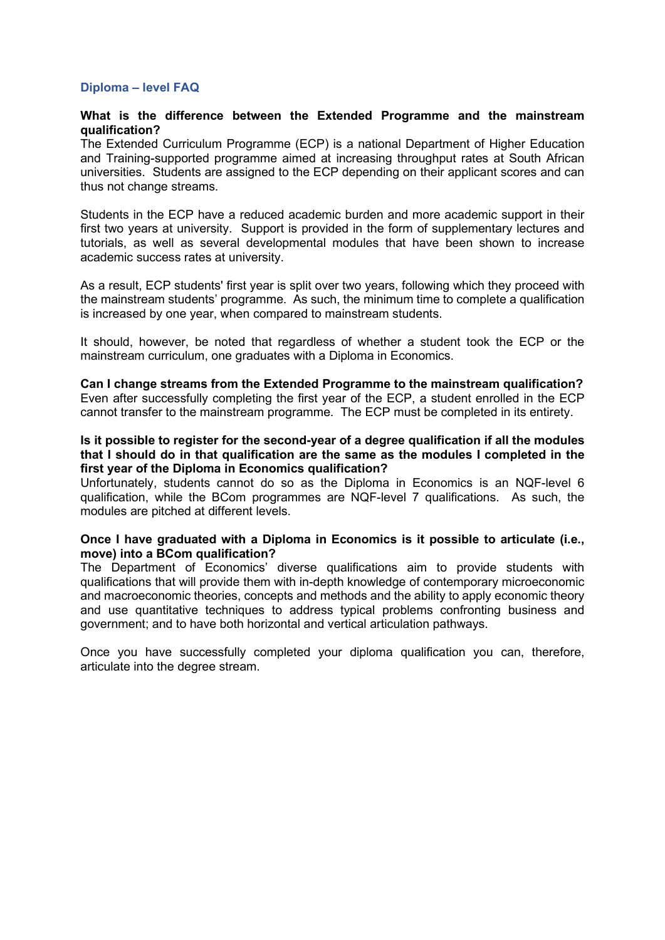# **Diploma – level FAQ**

# **What is the difference between the Extended Programme and the mainstream qualification?**

The Extended Curriculum Programme (ECP) is a national Department of Higher Education and Training-supported programme aimed at increasing throughput rates at South African universities. Students are assigned to the ECP depending on their applicant scores and can thus not change streams.

Students in the ECP have a reduced academic burden and more academic support in their first two years at university. Support is provided in the form of supplementary lectures and tutorials, as well as several developmental modules that have been shown to increase academic success rates at university.

As a result, ECP students' first year is split over two years, following which they proceed with the mainstream students' programme. As such, the minimum time to complete a qualification is increased by one year, when compared to mainstream students.

It should, however, be noted that regardless of whether a student took the ECP or the mainstream curriculum, one graduates with a Diploma in Economics.

**Can I change streams from the Extended Programme to the mainstream qualification?** Even after successfully completing the first year of the ECP, a student enrolled in the ECP cannot transfer to the mainstream programme. The ECP must be completed in its entirety.

## **Is it possible to register for the second-year of a degree qualification if all the modules that I should do in that qualification are the same as the modules I completed in the first year of the Diploma in Economics qualification?**

Unfortunately, students cannot do so as the Diploma in Economics is an NQF-level 6 qualification, while the BCom programmes are NQF-level 7 qualifications. As such, the modules are pitched at different levels.

## **Once I have graduated with a Diploma in Economics is it possible to articulate (i.e., move) into a BCom qualification?**

The Department of Economics' diverse qualifications aim to provide students with qualifications that will provide them with in-depth knowledge of contemporary microeconomic and macroeconomic theories, concepts and methods and the ability to apply economic theory and use quantitative techniques to address typical problems confronting business and government; and to have both horizontal and vertical articulation pathways.

Once you have successfully completed your diploma qualification you can, therefore, articulate into the degree stream.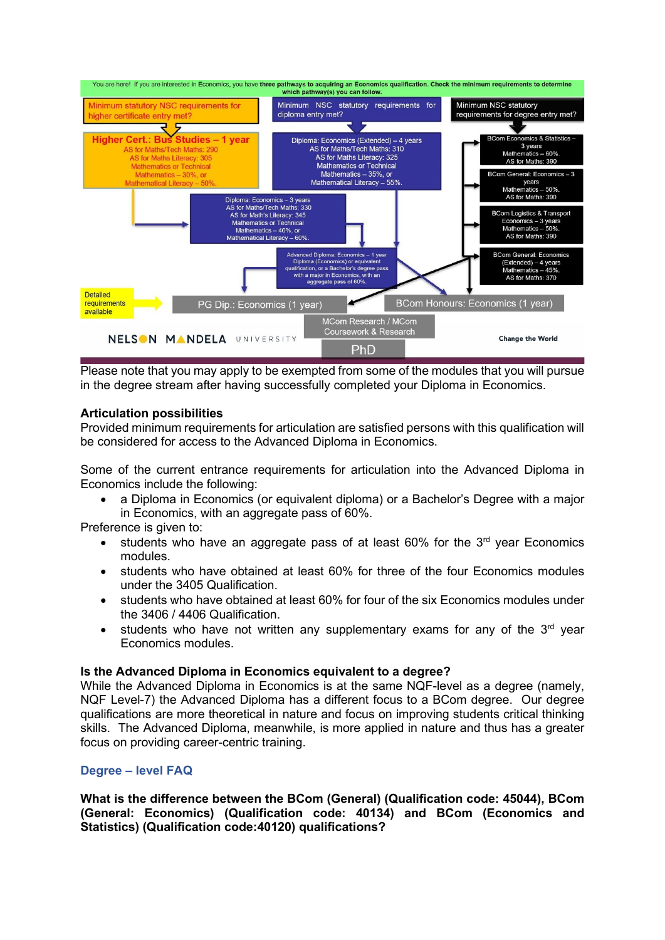

Please note that you may apply to be exempted from some of the modules that you will pursue in the degree stream after having successfully completed your Diploma in Economics.

# **Articulation possibilities**

Provided minimum requirements for articulation are satisfied persons with this qualification will be considered for access to the Advanced Diploma in Economics.

Some of the current entrance requirements for articulation into the Advanced Diploma in Economics include the following:

• a Diploma in Economics (or equivalent diploma) or a Bachelor's Degree with a major in Economics, with an aggregate pass of 60%.

Preference is given to:

- students who have an aggregate pass of at least  $60\%$  for the  $3<sup>rd</sup>$  year Economics modules.
- students who have obtained at least 60% for three of the four Economics modules under the 3405 Qualification.
- students who have obtained at least 60% for four of the six Economics modules under the 3406 / 4406 Qualification.
- students who have not written any supplementary exams for any of the  $3<sup>rd</sup>$  year Economics modules.

## **Is the Advanced Diploma in Economics equivalent to a degree?**

While the Advanced Diploma in Economics is at the same NQF-level as a degree (namely, NQF Level-7) the Advanced Diploma has a different focus to a BCom degree. Our degree qualifications are more theoretical in nature and focus on improving students critical thinking skills. The Advanced Diploma, meanwhile, is more applied in nature and thus has a greater focus on providing career-centric training.

# **Degree – level FAQ**

**What is the difference between the BCom (General) (Qualification code: 45044), BCom (General: Economics) (Qualification code: 40134) and BCom (Economics and Statistics) (Qualification code:40120) qualifications?**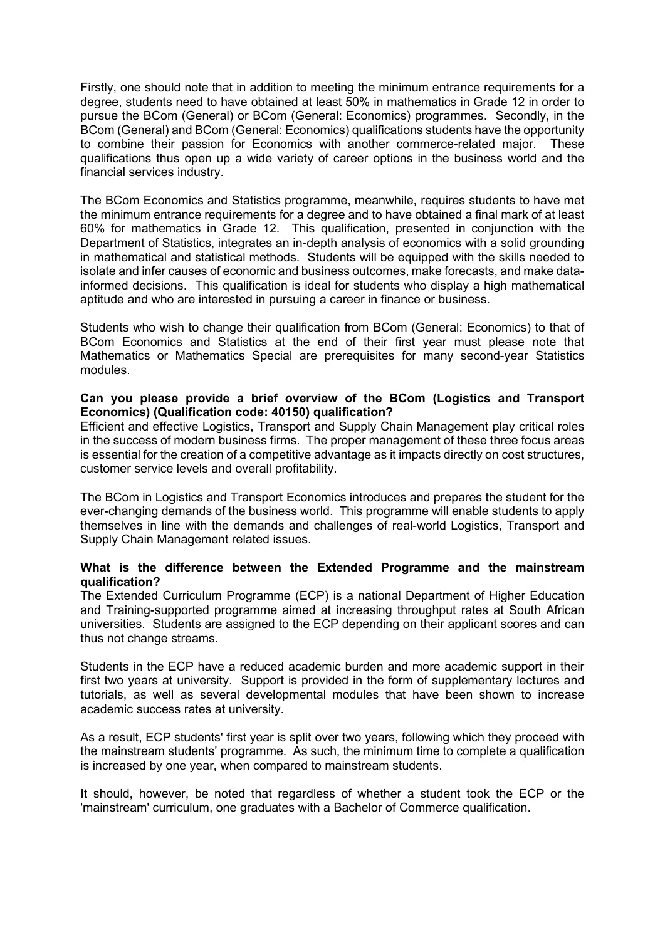Firstly, one should note that in addition to meeting the minimum entrance requirements for a degree, students need to have obtained at least 50% in mathematics in Grade 12 in order to pursue the BCom (General) or BCom (General: Economics) programmes. Secondly, in the BCom (General) and BCom (General: Economics) qualifications students have the opportunity to combine their passion for Economics with another commerce-related major. These qualifications thus open up a wide variety of career options in the business world and the financial services industry.

The BCom Economics and Statistics programme, meanwhile, requires students to have met the minimum entrance requirements for a degree and to have obtained a final mark of at least 60% for mathematics in Grade 12. This qualification, presented in conjunction with the Department of Statistics, integrates an in-depth analysis of economics with a solid grounding in mathematical and statistical methods. Students will be equipped with the skills needed to isolate and infer causes of economic and business outcomes, make forecasts, and make datainformed decisions. This qualification is ideal for students who display a high mathematical aptitude and who are interested in pursuing a career in finance or business.

Students who wish to change their qualification from BCom (General: Economics) to that of BCom Economics and Statistics at the end of their first year must please note that Mathematics or Mathematics Special are prerequisites for many second-year Statistics modules.

# **Can you please provide a brief overview of the BCom (Logistics and Transport Economics) (Qualification code: 40150) qualification?**

Efficient and effective Logistics, Transport and Supply Chain Management play critical roles in the success of modern business firms. The proper management of these three focus areas is essential for the creation of a competitive advantage as it impacts directly on cost structures, customer service levels and overall profitability.

The BCom in Logistics and Transport Economics introduces and prepares the student for the ever-changing demands of the business world. This programme will enable students to apply themselves in line with the demands and challenges of real-world Logistics, Transport and Supply Chain Management related issues.

# **What is the difference between the Extended Programme and the mainstream qualification?**

The Extended Curriculum Programme (ECP) is a national Department of Higher Education and Training-supported programme aimed at increasing throughput rates at South African universities. Students are assigned to the ECP depending on their applicant scores and can thus not change streams.

Students in the ECP have a reduced academic burden and more academic support in their first two years at university. Support is provided in the form of supplementary lectures and tutorials, as well as several developmental modules that have been shown to increase academic success rates at university.

As a result, ECP students' first year is split over two years, following which they proceed with the mainstream students' programme. As such, the minimum time to complete a qualification is increased by one year, when compared to mainstream students.

It should, however, be noted that regardless of whether a student took the ECP or the 'mainstream' curriculum, one graduates with a Bachelor of Commerce qualification.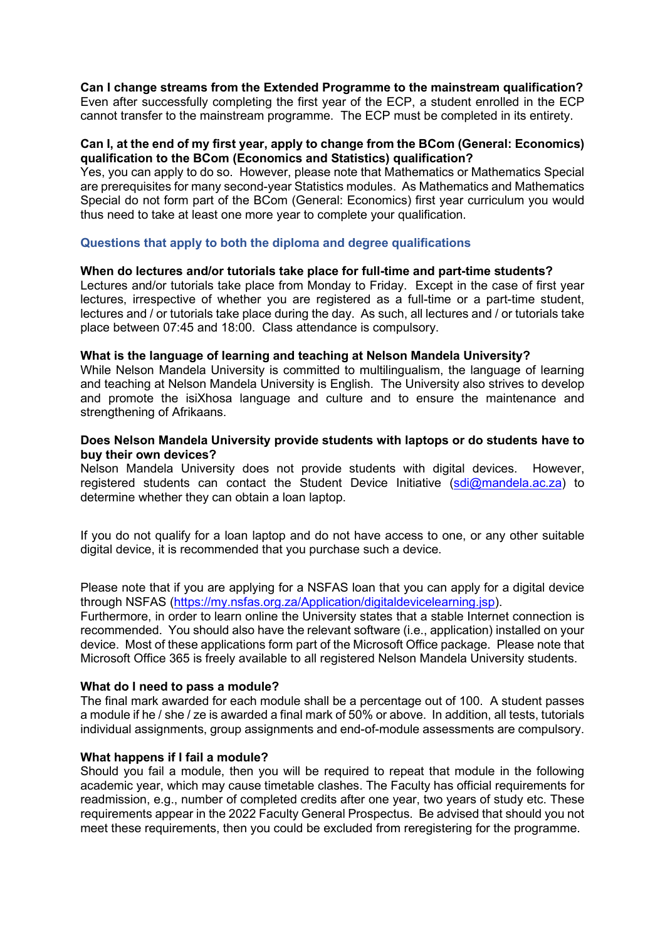# **Can I change streams from the Extended Programme to the mainstream qualification?**

Even after successfully completing the first year of the ECP, a student enrolled in the ECP cannot transfer to the mainstream programme. The ECP must be completed in its entirety.

# **Can I, at the end of my first year, apply to change from the BCom (General: Economics) qualification to the BCom (Economics and Statistics) qualification?**

Yes, you can apply to do so. However, please note that Mathematics or Mathematics Special are prerequisites for many second-year Statistics modules. As Mathematics and Mathematics Special do not form part of the BCom (General: Economics) first year curriculum you would thus need to take at least one more year to complete your qualification.

# **Questions that apply to both the diploma and degree qualifications**

## **When do lectures and/or tutorials take place for full-time and part-time students?**

Lectures and/or tutorials take place from Monday to Friday. Except in the case of first year lectures, irrespective of whether you are registered as a full-time or a part-time student, lectures and / or tutorials take place during the day. As such, all lectures and / or tutorials take place between 07:45 and 18:00. Class attendance is compulsory.

## **What is the language of learning and teaching at Nelson Mandela University?**

While Nelson Mandela University is committed to multilingualism, the language of learning and teaching at Nelson Mandela University is English. The University also strives to develop and promote the isiXhosa language and culture and to ensure the maintenance and strengthening of Afrikaans.

# **Does Nelson Mandela University provide students with laptops or do students have to buy their own devices?**

Nelson Mandela University does not provide students with digital devices. However, registered students can contact the Student Device Initiative [\(sdi@mandela.ac.za\)](mailto:sdi@mandela.ac.za) to determine whether they can obtain a loan laptop.

If you do not qualify for a loan laptop and do not have access to one, or any other suitable digital device, it is recommended that you purchase such a device.

Please note that if you are applying for a NSFAS loan that you can apply for a digital device through NSFAS [\(https://my.nsfas.org.za/Application/digitaldevicelearning.jsp\)](https://my.nsfas.org.za/Application/digitaldevicelearning.jsp).

Furthermore, in order to learn online the University states that a stable Internet connection is recommended. You should also have the relevant software (i.e., application) installed on your device. Most of these applications form part of the Microsoft Office package. Please note that Microsoft Office 365 is freely available to all registered Nelson Mandela University students.

## **What do I need to pass a module?**

The final mark awarded for each module shall be a percentage out of 100. A student passes a module if he / she / ze is awarded a final mark of 50% or above. In addition, all tests, tutorials individual assignments, group assignments and end-of-module assessments are compulsory.

## **What happens if I fail a module?**

Should you fail a module, then you will be required to repeat that module in the following academic year, which may cause timetable clashes. The Faculty has official requirements for readmission, e.g., number of completed credits after one year, two years of study etc. These requirements appear in the 2022 Faculty General Prospectus. Be advised that should you not meet these requirements, then you could be excluded from reregistering for the programme.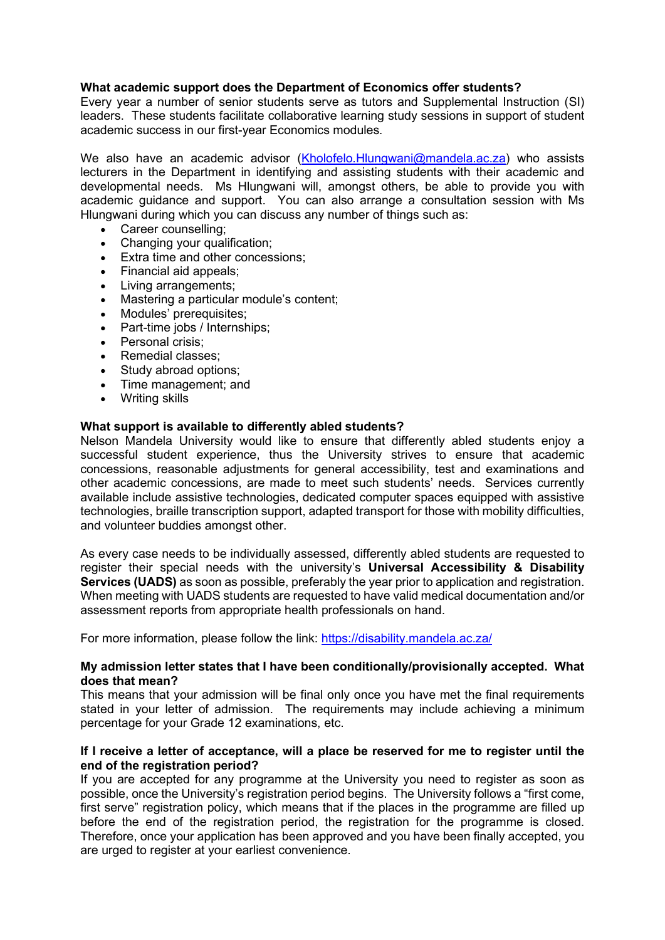# **What academic support does the Department of Economics offer students?**

Every year a number of senior students serve as tutors and Supplemental Instruction (SI) leaders. These students facilitate collaborative learning study sessions in support of student academic success in our first-year Economics modules*.* 

We also have an academic advisor [\(Kholofelo.Hlungwani@mandela.ac.za\)](mailto:Kholofelo.Hlungwani@mandela.ac.za) who assists lecturers in the Department in identifying and assisting students with their academic and developmental needs. Ms Hlungwani will, amongst others, be able to provide you with academic guidance and support. You can also arrange a consultation session with Ms Hlungwani during which you can discuss any number of things such as:

- Career counselling;<br>• Changing your quali
- Changing your qualification;<br>• Extra time and other conces
- **Extra time and other concessions:**
- Financial aid appeals;
- Living arrangements;
- Mastering a particular module's content;
- Modules' prerequisites;
- Part-time jobs / Internships;
- Personal crisis:
- Remedial classes:
- Study abroad options;
- Time management; and
- Writing skills

# **What support is available to differently abled students?**

Nelson Mandela University would like to ensure that differently abled students enjoy a successful student experience, thus the University strives to ensure that academic concessions, reasonable adjustments for general accessibility, test and examinations and other academic concessions, are made to meet such students' needs. Services currently available include assistive technologies, dedicated computer spaces equipped with assistive technologies, braille transcription support, adapted transport for those with mobility difficulties, and volunteer buddies amongst other.

As every case needs to be individually assessed, differently abled students are requested to register their special needs with the university's **Universal Accessibility & Disability Services (UADS)** as soon as possible, preferably the year prior to application and registration. When meeting with UADS students are requested to have valid medical documentation and/or assessment reports from appropriate health professionals on hand.

For more information, please follow the link:<https://disability.mandela.ac.za/>

# **My admission letter states that I have been conditionally/provisionally accepted. What does that mean?**

This means that your admission will be final only once you have met the final requirements stated in your letter of admission. The requirements may include achieving a minimum percentage for your Grade 12 examinations, etc.

# **If I receive a letter of acceptance, will a place be reserved for me to register until the end of the registration period?**

If you are accepted for any programme at the University you need to register as soon as possible, once the University's registration period begins. The University follows a "first come, first serve" registration policy, which means that if the places in the programme are filled up before the end of the registration period, the registration for the programme is closed. Therefore, once your application has been approved and you have been finally accepted, you are urged to register at your earliest convenience.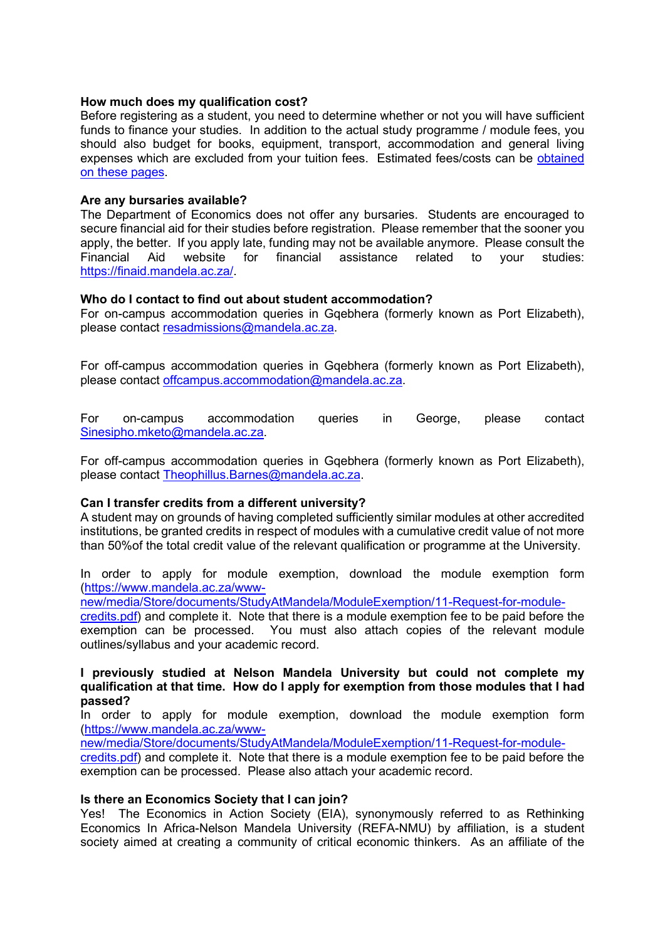# **How much does my qualification cost?**

Before registering as a student, you need to determine whether or not you will have sufficient funds to finance your studies. In addition to the actual study programme / module fees, you should also budget for books, equipment, transport, accommodation and general living expenses which are excluded from your tuition fees. Estimated fees/costs can be [obtained](http://www.mandela.ac.za/Apply/Funding-your-studies/General-Financial-information)  [on these pages.](http://www.mandela.ac.za/Apply/Funding-your-studies/General-Financial-information)

# **Are any bursaries available?**

The Department of Economics does not offer any bursaries. Students are encouraged to secure financial aid for their studies before registration. Please remember that the sooner you apply, the better. If you apply late, funding may not be available anymore. Please consult the Financial Aid website for financial assistance related to vour studies: Financial Aid website for financial assistance related to your studies: [https://finaid.mandela.ac.za/.](https://finaid.mandela.ac.za/)

# **Who do I contact to find out about student accommodation?**

For on-campus accommodation queries in Gqebhera (formerly known as Port Elizabeth), please contact [resadmissions@mandela.ac.za.](mailto:resadmissions@mandela.ac.za)

For off-campus accommodation queries in Gqebhera (formerly known as Port Elizabeth), please contact [offcampus.accommodation@mandela.ac.za.](mailto:offcampus.accommodation@mandela.ac.za)

For on-campus accommodation queries in George, please contact [Sinesipho.mketo@mandela.ac.za.](mailto:Sinesipho.mketo@mandela.ac.za)

For off-campus accommodation queries in Gqebhera (formerly known as Port Elizabeth), please contact [Theophillus.Barnes@mandela.ac.za.](mailto:Theophillus.Barnes@mandela.ac.za)

## **Can I transfer credits from a different university?**

A student may on grounds of having completed sufficiently similar modules at other accredited institutions, be granted credits in respect of modules with a cumulative credit value of not more than 50%of the total credit value of the relevant qualification or programme at the University.

In order to apply for module exemption, download the module exemption form [\(https://www.mandela.ac.za/www-](https://www.mandela.ac.za/www-new/media/Store/documents/StudyAtMandela/ModuleExemption/11-Request-for-module-credits.pdf)

[new/media/Store/documents/StudyAtMandela/ModuleExemption/11-Request-for-module-](https://www.mandela.ac.za/www-new/media/Store/documents/StudyAtMandela/ModuleExemption/11-Request-for-module-credits.pdf)

[credits.pdf\)](https://www.mandela.ac.za/www-new/media/Store/documents/StudyAtMandela/ModuleExemption/11-Request-for-module-credits.pdf) and complete it. Note that there is a module exemption fee to be paid before the exemption can be processed. You must also attach copies of the relevant module outlines/syllabus and your academic record.

## **I previously studied at Nelson Mandela University but could not complete my qualification at that time. How do I apply for exemption from those modules that I had passed?**

In order to apply for module exemption, download the module exemption form [\(https://www.mandela.ac.za/www-](https://www.mandela.ac.za/www-new/media/Store/documents/StudyAtMandela/ModuleExemption/11-Request-for-module-credits.pdf)

[new/media/Store/documents/StudyAtMandela/ModuleExemption/11-Request-for-module-](https://www.mandela.ac.za/www-new/media/Store/documents/StudyAtMandela/ModuleExemption/11-Request-for-module-credits.pdf)

[credits.pdf\)](https://www.mandela.ac.za/www-new/media/Store/documents/StudyAtMandela/ModuleExemption/11-Request-for-module-credits.pdf) and complete it. Note that there is a module exemption fee to be paid before the exemption can be processed. Please also attach your academic record.

## **Is there an Economics Society that I can join?**

Yes! The Economics in Action Society (EIA), synonymously referred to as Rethinking Economics In Africa-Nelson Mandela University (REFA-NMU) by affiliation, is a student society aimed at creating a community of critical economic thinkers. As an affiliate of the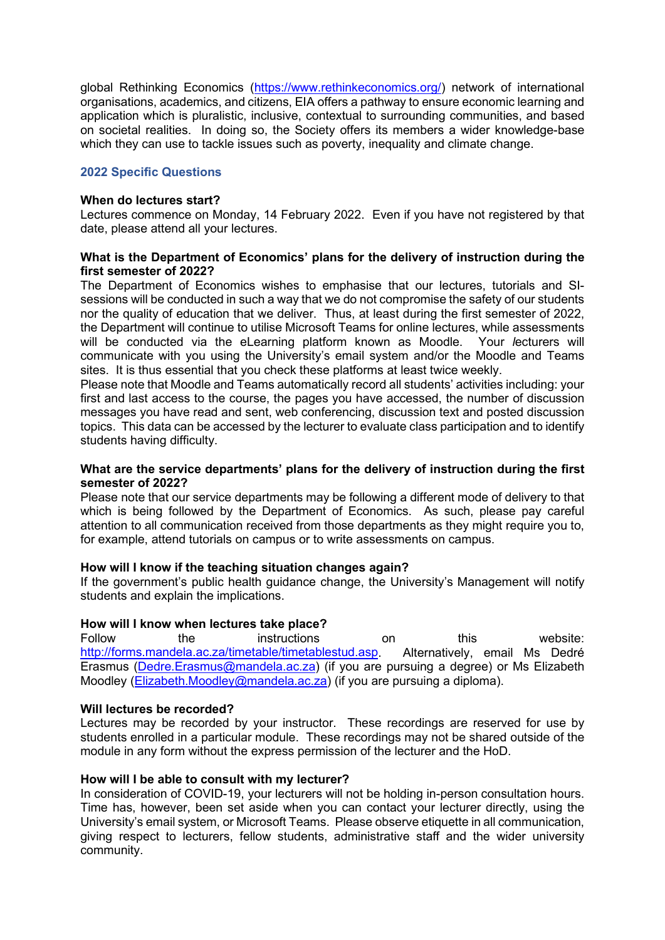global Rethinking Economics [\(https://www.rethinkeconomics.org/\)](https://www.rethinkeconomics.org/) network of international organisations, academics, and citizens, EIA offers a pathway to ensure economic learning and application which is pluralistic, inclusive, contextual to surrounding communities, and based on societal realities. In doing so, the Society offers its members a wider knowledge-base which they can use to tackle issues such as poverty, inequality and climate change.

# **2022 Specific Questions**

#### **When do lectures start?**

Lectures commence on Monday, 14 February 2022. Even if you have not registered by that date, please attend all your lectures.

# **What is the Department of Economics' plans for the delivery of instruction during the first semester of 2022?**

The Department of Economics wishes to emphasise that our lectures, tutorials and SIsessions will be conducted in such a way that we do not compromise the safety of our students nor the quality of education that we deliver. Thus, at least during the first semester of 2022, the Department will continue to utilise Microsoft Teams for online lectures, while assessments will be conducted via the eLearning platform known as Moodle. Your *l*ecturers will communicate with you using the University's email system and/or the Moodle and Teams sites. It is thus essential that you check these platforms at least twice weekly.

Please note that Moodle and Teams automatically record all students' activities including: your first and last access to the course, the pages you have accessed, the number of discussion messages you have read and sent, web conferencing, discussion text and posted discussion topics. This data can be accessed by the lecturer to evaluate class participation and to identify students having difficulty.

# **What are the service departments' plans for the delivery of instruction during the first semester of 2022?**

Please note that our service departments may be following a different mode of delivery to that which is being followed by the Department of Economics. As such, please pay careful attention to all communication received from those departments as they might require you to, for example, attend tutorials on campus or to write assessments on campus.

## **How will I know if the teaching situation changes again?**

If the government's public health guidance change, the University's Management will notify students and explain the implications.

## **How will I know when lectures take place?**

Follow the instructions on this website:<br>http://forms.mandela.ac.za/timetable/timetablestud.asp. Alternatively, email Ms Dedré [http://forms.mandela.ac.za/timetable/timetablestud.asp.](http://forms.mandela.ac.za/timetable/timetablestud.asp) Erasmus [\(Dedre.Erasmus@mandela.ac.za\)](mailto:Dedre.Erasmus@mandela.ac.za) (if you are pursuing a degree) or Ms Elizabeth Moodley [\(Elizabeth.Moodley@mandela.ac.za\)](mailto:Elizabeth.Moodley@mandela.ac.za) (if you are pursuing a diploma).

## **Will lectures be recorded?**

Lectures may be recorded by your instructor. These recordings are reserved for use by students enrolled in a particular module. These recordings may not be shared outside of the module in any form without the express permission of the lecturer and the HoD.

## **How will I be able to consult with my lecturer?**

In consideration of COVID-19, your lecturers will not be holding in-person consultation hours. Time has, however, been set aside when you can contact your lecturer directly, using the University's email system, or Microsoft Teams. Please observe etiquette in all communication, giving respect to lecturers, fellow students, administrative staff and the wider university community.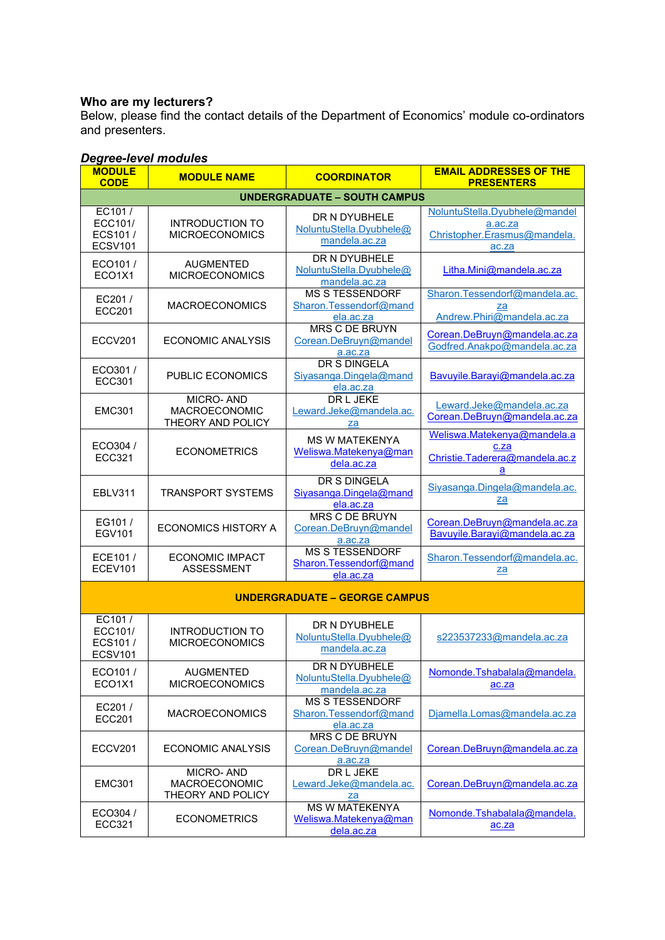# **Who are my lecturers?**

Below, please find the contact details of the Department of Economics' module co-ordinators and presenters.

# *Degree-level modules*

| <b>MODULE</b><br><b>CODE</b>                   | <b>MODULE NAME</b>                              | <b>COORDINATOR</b>                                            | <b>EMAIL ADDRESSES OF THE</b><br><b>PRESENTERS</b>                                |  |  |  |  |
|------------------------------------------------|-------------------------------------------------|---------------------------------------------------------------|-----------------------------------------------------------------------------------|--|--|--|--|
| <b>UNDERGRADUATE - SOUTH CAMPUS</b>            |                                                 |                                                               |                                                                                   |  |  |  |  |
| EC101/<br>ECC101/<br>ECS101/<br><b>ECSV101</b> | <b>INTRODUCTION TO</b><br><b>MICROECONOMICS</b> | DR N DYUBHELE<br>NoluntuStella.Dyubhele@<br>mandela.ac.za     | NoluntuStella.Dyubhele@mandel<br>a.ac.za<br>Christopher.Erasmus@mandela.<br>ac.za |  |  |  |  |
| ECO101/<br>ECO1X1                              | <b>AUGMENTED</b><br><b>MICROECONOMICS</b>       | DR N DYUBHELE<br>NoluntuStella.Dyubhele@<br>mandela.ac.za     | Litha.Mini@mandela.ac.za                                                          |  |  |  |  |
| EC201/<br><b>ECC201</b>                        | <b>MACROECONOMICS</b>                           | <b>MS S TESSENDORF</b><br>Sharon.Tessendorf@mand<br>ela.ac.za | Sharon.Tessendorf@mandela.ac.<br>za<br>Andrew.Phiri@mandela.ac.za                 |  |  |  |  |
| ECCV201                                        | ECONOMIC ANALYSIS                               | MRS C DE BRUYN<br>Corean.DeBruyn@mandel<br>a.ac.za            | Corean.DeBruyn@mandela.ac.za<br>Godfred.Anakpo@mandela.ac.za                      |  |  |  |  |
| ECO301/<br>ECC301                              | <b>PUBLIC ECONOMICS</b>                         | DR S DINGELA<br>Siyasanga.Dingela@mand<br>ela.ac.za           | Bavuyile.Barayi@mandela.ac.za                                                     |  |  |  |  |
| <b>EMC301</b>                                  | MICRO-AND<br>MACROECONOMIC<br>THEORY AND POLICY | DR L JEKE<br>Leward.Jeke@mandela.ac.<br>za                    | Leward.Jeke@mandela.ac.za<br>Corean.DeBruyn@mandela.ac.za                         |  |  |  |  |
| ECO304 /<br>ECC321                             | <b>ECONOMETRICS</b>                             | <b>MS W MATEKENYA</b><br>Weliswa.Matekenya@man<br>dela.ac.za  | Weliswa.Matekenya@mandela.a<br>c.za<br>Christie.Taderera@mandela.ac.z<br>a        |  |  |  |  |
| <b>EBLV311</b>                                 | <b>TRANSPORT SYSTEMS</b>                        | <b>DR S DINGELA</b><br>Siyasanga.Dingela@mand<br>ela.ac.za    | Siyasanga.Dingela@mandela.ac.<br>za                                               |  |  |  |  |
| EG101/<br><b>EGV101</b>                        | <b>ECONOMICS HISTORY A</b>                      | MRS C DE BRUYN<br>Corean.DeBruyn@mandel<br>a.ac.za            | Corean.DeBruyn@mandela.ac.za<br>Bavuyile.Barayi@mandela.ac.za                     |  |  |  |  |
| ECE101/<br>ECEV101                             | <b>ECONOMIC IMPACT</b><br><b>ASSESSMENT</b>     | <b>MS S TESSENDORF</b><br>Sharon.Tessendorf@mand<br>ela.ac.za | Sharon.Tessendorf@mandela.ac.<br><u>za</u>                                        |  |  |  |  |
| <b>UNDERGRADUATE - GEORGE CAMPUS</b>           |                                                 |                                                               |                                                                                   |  |  |  |  |
| EC101/<br>ECC101/<br>ECS101/<br><b>ECSV101</b> | <b>INTRODUCTION TO</b><br><b>MICROECONOMICS</b> | DR N DYUBHELE<br>NoluntuStella.Dyubhele@<br>mandela.ac.za     | s223537233@mandela.ac.za                                                          |  |  |  |  |
| ECO101/<br>ECO1X1                              | <b>AUGMENTED</b><br><b>MICROECONOMICS</b>       | DR N DYUBHELE<br>NoluntuStella.Dyubhele@<br>mandela.ac.za     | Nomonde.Tshabalala@mandela.<br>ac.za                                              |  |  |  |  |
| EC201/<br><b>ECC201</b>                        | <b>MACROECONOMICS</b>                           | <b>MS S TESSENDORF</b><br>Sharon.Tessendorf@mand<br>ela.ac.za | Djamella.Lomas@mandela.ac.za                                                      |  |  |  |  |
| ECCV201                                        | ECONOMIC ANALYSIS                               | MRS C DE BRUYN<br>Corean.DeBruyn@mandel<br>a.ac.za            | Corean.DeBruyn@mandela.ac.za                                                      |  |  |  |  |
| <b>EMC301</b>                                  | MICRO-AND<br>MACROECONOMIC<br>THEORY AND POLICY | DR L JEKE<br>Leward.Jeke@mandela.ac.<br>za                    | Corean.DeBruyn@mandela.ac.za                                                      |  |  |  |  |
| ECO304 /<br>ECC321                             | <b>ECONOMETRICS</b>                             | <b>MS W MATEKENYA</b><br>Weliswa.Matekenya@man<br>dela.ac.za  | Nomonde.Tshabalala@mandela.<br>ac.za                                              |  |  |  |  |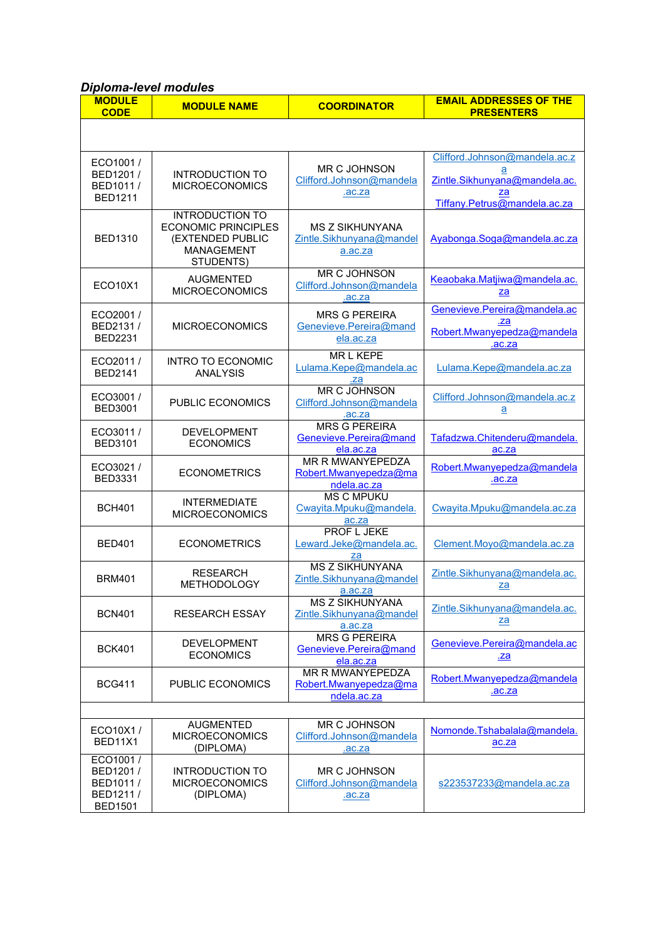# *Diploma-level modules*

| <b>MODULE</b><br><b>CODE</b>                                    | <b>MODULE NAME</b>                                                                                         | <b>COORDINATOR</b>                                              | <b>EMAIL ADDRESSES OF THE</b><br><b>PRESENTERS</b>                                                        |  |  |  |
|-----------------------------------------------------------------|------------------------------------------------------------------------------------------------------------|-----------------------------------------------------------------|-----------------------------------------------------------------------------------------------------------|--|--|--|
|                                                                 |                                                                                                            |                                                                 |                                                                                                           |  |  |  |
| ECO1001/<br>BED1201 /<br>BED1011/<br><b>BED1211</b>             | <b>INTRODUCTION TO</b><br><b>MICROECONOMICS</b>                                                            | <b>MR C JOHNSON</b><br>Clifford.Johnson@mandela<br>.ac.za       | Clifford.Johnson@mandela.ac.z<br>а<br>Zintle.Sikhunyana@mandela.ac.<br>za<br>Tiffany.Petrus@mandela.ac.za |  |  |  |
| <b>BED1310</b>                                                  | <b>INTRODUCTION TO</b><br><b>ECONOMIC PRINCIPLES</b><br>(EXTENDED PUBLIC<br><b>MANAGEMENT</b><br>STUDENTS) | <b>MS Z SIKHUNYANA</b><br>Zintle.Sikhunyana@mandel<br>a.ac.za   | Ayabonga.Soga@mandela.ac.za                                                                               |  |  |  |
| ECO10X1                                                         | <b>AUGMENTED</b><br><b>MICROECONOMICS</b>                                                                  | <b>MR C JOHNSON</b><br>Clifford.Johnson@mandela<br>.ac.za       | Keaobaka.Matjiwa@mandela.ac.<br>za                                                                        |  |  |  |
| ECO2001/<br>BED2131/<br><b>BED2231</b>                          | <b>MICROECONOMICS</b>                                                                                      | <b>MRS G PFRFIRA</b><br>Genevieve.Pereira@mand<br>ela.ac.za     | Genevieve.Pereira@mandela.ac<br>.za<br>Robert.Mwanyepedza@mandela<br>.ac.za                               |  |  |  |
| ECO2011/<br><b>BED2141</b>                                      | <b>INTRO TO ECONOMIC</b><br><b>ANALYSIS</b>                                                                | MR L KEPE<br>Lulama.Kepe@mandela.ac<br>.za                      | Lulama.Kepe@mandela.ac.za                                                                                 |  |  |  |
| ECO3001/<br><b>BED3001</b>                                      | PUBLIC ECONOMICS                                                                                           | <b>MR C JOHNSON</b><br>Clifford.Johnson@mandela<br>.ac.za       | Clifford.Johnson@mandela.ac.z<br>$\underline{a}$                                                          |  |  |  |
| ECO3011/<br><b>BED3101</b>                                      | <b>DEVELOPMENT</b><br><b>ECONOMICS</b>                                                                     | <b>MRS G PEREIRA</b><br>Genevieve.Pereira@mand<br>ela.ac.za     | Tafadzwa.Chitenderu@mandela.<br>ac.za                                                                     |  |  |  |
| ECO3021/<br><b>BED3331</b>                                      | <b>ECONOMETRICS</b>                                                                                        | <b>MR R MWANYEPEDZA</b><br>Robert.Mwanyepedza@ma<br>ndela.ac.za | Robert.Mwanyepedza@mandela<br>.ac.za                                                                      |  |  |  |
| <b>BCH401</b>                                                   | <b>INTERMEDIATE</b><br><b>MICROECONOMICS</b>                                                               | <b>MS C MPUKU</b><br>Cwayita.Mpuku@mandela.<br>ac.za            | Cwayita.Mpuku@mandela.ac.za                                                                               |  |  |  |
| <b>BED401</b>                                                   | <b>ECONOMETRICS</b>                                                                                        | PROF L JEKE<br>Leward.Jeke@mandela.ac.<br>za                    | Clement.Moyo@mandela.ac.za                                                                                |  |  |  |
| <b>BRM401</b>                                                   | <b>RESEARCH</b><br><b>METHODOLOGY</b>                                                                      | <b>MS Z SIKHUNYANA</b><br>Zintle.Sikhunyana@mandel<br>a.ac.za   | Zintle.Sikhunyana@mandela.ac.<br>za                                                                       |  |  |  |
| <b>BCN401</b>                                                   | <b>RESEARCH ESSAY</b>                                                                                      | <b>MS Z SIKHUNYANA</b><br>Zintle.Sikhunyana@mandel<br>a.ac.za   | Zintle.Sikhunyana@mandela.ac.<br>za                                                                       |  |  |  |
| <b>BCK401</b>                                                   | <b>DEVELOPMENT</b><br><b>ECONOMICS</b>                                                                     | <b>MRS G PEREIRA</b><br>Genevieve.Pereira@mand<br>ela.ac.za     | Genevieve.Pereira@mandela.ac<br><u>.za</u>                                                                |  |  |  |
| <b>BCG411</b>                                                   | <b>PUBLIC ECONOMICS</b>                                                                                    | MR R MWANYEPEDZA<br>Robert.Mwanyepedza@ma<br>ndela.ac.za        | Robert.Mwanyepedza@mandela<br>ac.za                                                                       |  |  |  |
|                                                                 |                                                                                                            |                                                                 |                                                                                                           |  |  |  |
| ECO10X1/<br>BED11X1                                             | <b>AUGMENTED</b><br><b>MICROECONOMICS</b><br>(DIPLOMA)                                                     | <b>MR C JOHNSON</b><br>Clifford.Johnson@mandela<br>ac.za        | Nomonde.Tshabalala@mandela.<br>ac.za                                                                      |  |  |  |
| ECO1001/<br>BED1201 /<br>BED1011/<br>BED1211/<br><b>BED1501</b> | <b>INTRODUCTION TO</b><br><b>MICROECONOMICS</b><br>(DIPLOMA)                                               | <b>MR C JOHNSON</b><br>Clifford.Johnson@mandela<br>.ac.za       | s223537233@mandela.ac.za                                                                                  |  |  |  |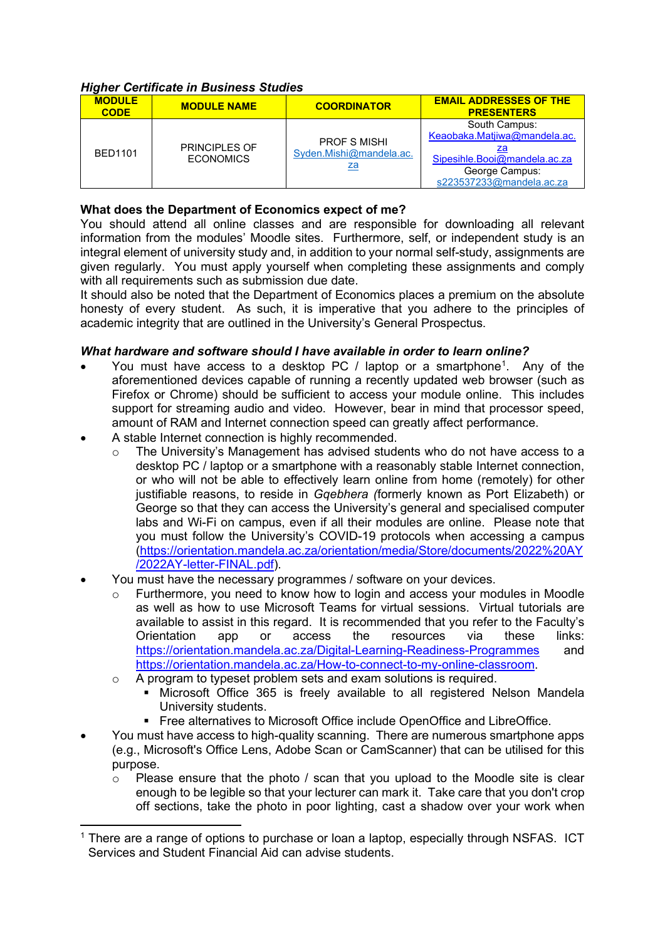# *Higher Certificate in Business Studies*

| <b>MODULE</b><br><b>CODE</b> | <b>MODULE NAME</b>                       | <b>COORDINATOR</b>                                          | <b>EMAIL ADDRESSES OF THE</b><br><b>PRESENTERS</b>                                                                          |
|------------------------------|------------------------------------------|-------------------------------------------------------------|-----------------------------------------------------------------------------------------------------------------------------|
| <b>BED1101</b>               | <b>PRINCIPLES OF</b><br><b>ECONOMICS</b> | <b>PROF S MISHI</b><br>Syden.Mishi@mandela.ac.<br><u>za</u> | South Campus:<br>Keaobaka.Matjiwa@mandela.ac.<br>Sipesihle.Booi@mandela.ac.za<br>George Campus:<br>s223537233@mandela.ac.za |

# **What does the Department of Economics expect of me?**

You should attend all online classes and are responsible for downloading all relevant information from the modules' Moodle sites. Furthermore, self, or independent study is an integral element of university study and, in addition to your normal self-study, assignments are given regularly. You must apply yourself when completing these assignments and comply with all requirements such as submission due date.

It should also be noted that the Department of Economics places a premium on the absolute honesty of every student. As such, it is imperative that you adhere to the principles of academic integrity that are outlined in the University's General Prospectus.

# *What hardware and software should I have available in order to learn online?*

- You must have access to a desktop PC / laptop or a smartphone<sup>[1](#page-9-0)</sup>. Any of the aforementioned devices capable of running a recently updated web browser (such as Firefox or Chrome) should be sufficient to access your module online. This includes support for streaming audio and video. However, bear in mind that processor speed, amount of RAM and Internet connection speed can greatly affect performance.
- A stable Internet connection is highly recommended.
	- $\circ$  The University's Management has advised students who do not have access to a desktop PC / laptop or a smartphone with a reasonably stable Internet connection, or who will not be able to effectively learn online from home (remotely) for other justifiable reasons, to reside in *Gqebhera (*formerly known as Port Elizabeth) or George so that they can access the University's general and specialised computer labs and Wi-Fi on campus, even if all their modules are online. Please note that you must follow the University's COVID-19 protocols when accessing a campus [\(https://orientation.mandela.ac.za/orientation/media/Store/documents/2022%20AY](https://orientation.mandela.ac.za/orientation/media/Store/documents/2022%20AY/2022AY-letter-FINAL.pdf) [/2022AY-letter-FINAL.pdf\)](https://orientation.mandela.ac.za/orientation/media/Store/documents/2022%20AY/2022AY-letter-FINAL.pdf).
- You must have the necessary programmes / software on your devices.
	- o Furthermore, you need to know how to login and access your modules in Moodle as well as how to use Microsoft Teams for virtual sessions. Virtual tutorials are available to assist in this regard. It is recommended that you refer to the Faculty's Orientation app or access the resources via these links: <https://orientation.mandela.ac.za/Digital-Learning-Readiness-Programmes> and [https://orientation.mandela.ac.za/How-to-connect-to-my-online-classroom.](https://orientation.mandela.ac.za/How-to-connect-to-my-online-classroom)
	- A program to typeset problem sets and exam solutions is required.
		- Microsoft Office 365 is freely available to all registered Nelson Mandela University students.
		- Free alternatives to Microsoft Office include OpenOffice and LibreOffice.
- You must have access to high-quality scanning. There are numerous smartphone apps (e.g., Microsoft's Office Lens, Adobe Scan or CamScanner) that can be utilised for this purpose.
	- $\circ$  Please ensure that the photo / scan that you upload to the Moodle site is clear enough to be legible so that your lecturer can mark it. Take care that you don't crop off sections, take the photo in poor lighting, cast a shadow over your work when

<span id="page-9-0"></span> $1$  There are a range of options to purchase or loan a laptop, especially through NSFAS. ICT Services and Student Financial Aid can advise students.